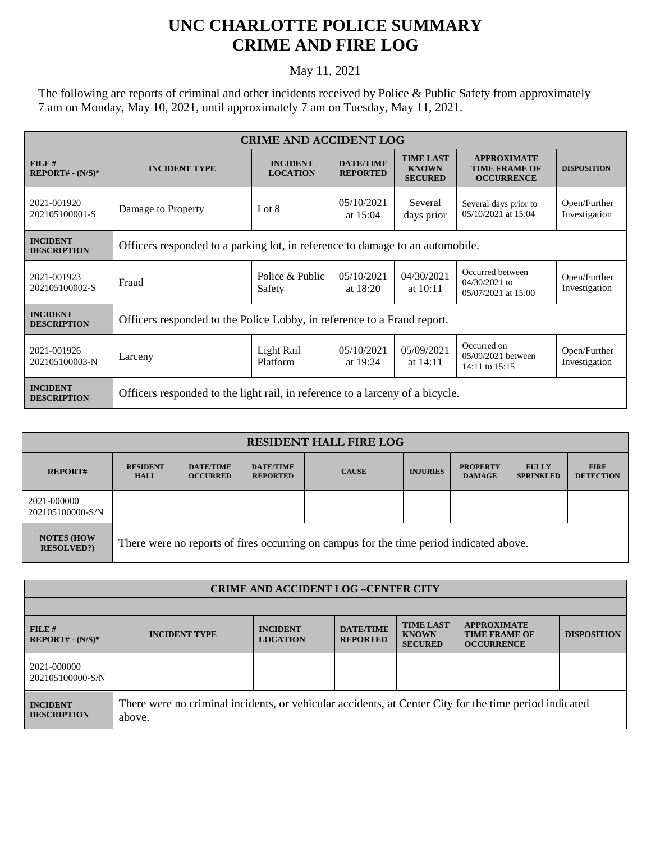## **UNC CHARLOTTE POLICE SUMMARY CRIME AND FIRE LOG**

## May 11, 2021

The following are reports of criminal and other incidents received by Police & Public Safety from approximately 7 am on Monday, May 10, 2021, until approximately 7 am on Tuesday, May 11, 2021.

| <b>CRIME AND ACCIDENT LOG</b>         |                                                                               |                                    |                                     |                                                    |                                                                 |                               |  |  |
|---------------------------------------|-------------------------------------------------------------------------------|------------------------------------|-------------------------------------|----------------------------------------------------|-----------------------------------------------------------------|-------------------------------|--|--|
| FILE#<br>$REPORT# - (N/S)*$           | <b>INCIDENT TYPE</b>                                                          | <b>INCIDENT</b><br><b>LOCATION</b> | <b>DATE/TIME</b><br><b>REPORTED</b> | <b>TIME LAST</b><br><b>KNOWN</b><br><b>SECURED</b> | <b>APPROXIMATE</b><br><b>TIME FRAME OF</b><br><b>OCCURRENCE</b> | <b>DISPOSITION</b>            |  |  |
| 2021-001920<br>202105100001-S         | Damage to Property                                                            | Lot $8$                            | 05/10/2021<br>at $15:04$            | Several<br>days prior                              | Several days prior to<br>05/10/2021 at 15:04                    | Open/Further<br>Investigation |  |  |
| <b>INCIDENT</b><br><b>DESCRIPTION</b> | Officers responded to a parking lot, in reference to damage to an automobile. |                                    |                                     |                                                    |                                                                 |                               |  |  |
| 2021-001923<br>202105100002-S         | Fraud                                                                         | Police & Public<br>Safety          | 05/10/2021<br>at $18:20$            | 04/30/2021<br>at $10:11$                           | Occurred between<br>$04/30/2021$ to<br>05/07/2021 at 15:00      | Open/Further<br>Investigation |  |  |
| <b>INCIDENT</b><br><b>DESCRIPTION</b> | Officers responded to the Police Lobby, in reference to a Fraud report.       |                                    |                                     |                                                    |                                                                 |                               |  |  |
| 2021-001926<br>202105100003-N         | Larceny                                                                       | Light Rail<br>Platform             | 05/10/2021<br>at $19:24$            | 05/09/2021<br>at $14:11$                           | Occurred on<br>05/09/2021 between<br>$14:11$ to $15:15$         | Open/Further<br>Investigation |  |  |
| <b>INCIDENT</b><br><b>DESCRIPTION</b> | Officers responded to the light rail, in reference to a larceny of a bicycle. |                                    |                                     |                                                    |                                                                 |                               |  |  |

| <b>RESIDENT HALL FIRE LOG</b>          |                                                                                         |                                     |                                     |              |                 |                                  |                                  |                                 |  |
|----------------------------------------|-----------------------------------------------------------------------------------------|-------------------------------------|-------------------------------------|--------------|-----------------|----------------------------------|----------------------------------|---------------------------------|--|
| <b>REPORT#</b>                         | <b>RESIDENT</b><br><b>HALL</b>                                                          | <b>DATE/TIME</b><br><b>OCCURRED</b> | <b>DATE/TIME</b><br><b>REPORTED</b> | <b>CAUSE</b> | <b>INJURIES</b> | <b>PROPERTY</b><br><b>DAMAGE</b> | <b>FULLY</b><br><b>SPRINKLED</b> | <b>FIRE</b><br><b>DETECTION</b> |  |
| 2021-000000<br>202105100000-S/N        |                                                                                         |                                     |                                     |              |                 |                                  |                                  |                                 |  |
| <b>NOTES (HOW</b><br><b>RESOLVED?)</b> | There were no reports of fires occurring on campus for the time period indicated above. |                                     |                                     |              |                 |                                  |                                  |                                 |  |

| <b>CRIME AND ACCIDENT LOG-CENTER CITY</b> |                                                                                                                  |                                    |                                     |                                                    |                                                                 |                    |
|-------------------------------------------|------------------------------------------------------------------------------------------------------------------|------------------------------------|-------------------------------------|----------------------------------------------------|-----------------------------------------------------------------|--------------------|
|                                           |                                                                                                                  |                                    |                                     |                                                    |                                                                 |                    |
| $FILE$ #<br>$REPORT# - (N/S)*$            | <b>INCIDENT TYPE</b>                                                                                             | <b>INCIDENT</b><br><b>LOCATION</b> | <b>DATE/TIME</b><br><b>REPORTED</b> | <b>TIME LAST</b><br><b>KNOWN</b><br><b>SECURED</b> | <b>APPROXIMATE</b><br><b>TIME FRAME OF</b><br><b>OCCURRENCE</b> | <b>DISPOSITION</b> |
| 2021-000000<br>202105100000-S/N           |                                                                                                                  |                                    |                                     |                                                    |                                                                 |                    |
| <b>INCIDENT</b><br><b>DESCRIPTION</b>     | There were no criminal incidents, or vehicular accidents, at Center City for the time period indicated<br>above. |                                    |                                     |                                                    |                                                                 |                    |